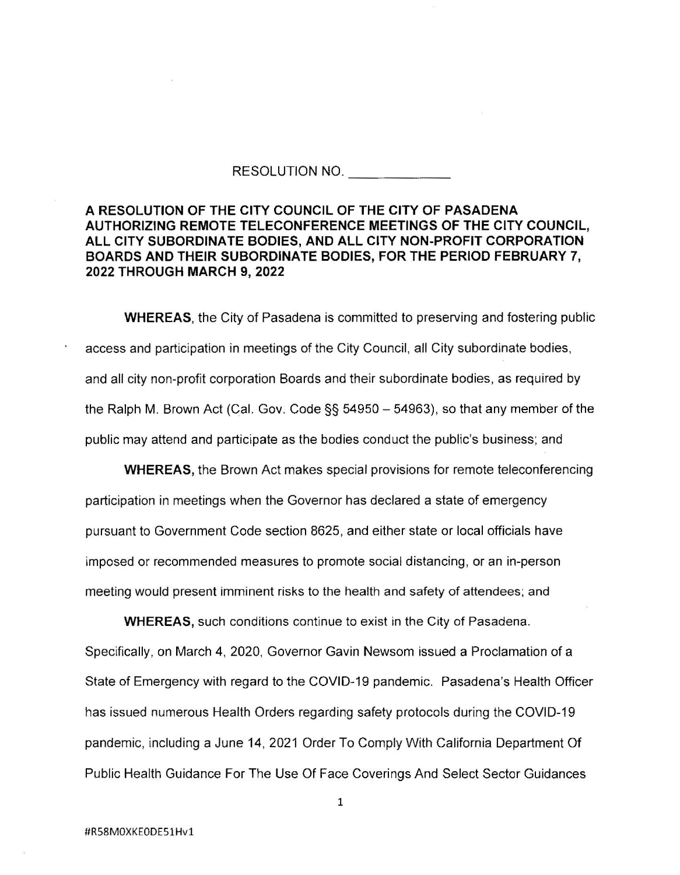## RESOLUTION NO.

## **A RESOLUTION OF THE CITY COUNCIL OF THE CITY OF PASADENA AUTHORIZING REMOTE TELECONFERENCE MEETINGS OF THE CITY COUNCIL, ALL CITY SUBORDINATE BODIES, AND ALL CITY NON-PROFIT CORPORATION BOARDS AND THEIR SUBORDINATE BODIES, FOR THE PERIOD FEBRUARY 7, 2022 THROUGH MARCH 9, 2022**

**WHEREAS,** the City of Pasadena is committed to preserving and fostering public access and participation in meetings of the City Council, all City subordinate bodies, and all city non-profit corporation Boards and their subordinate bodies, as required by the Ralph M. Brown Act (Cal. Gov. Code  $\S$ § 54950 - 54963), so that any member of the public may attend and participate as the bodies conduct the public's business; and

**WHEREAS,** the Brown Act makes special provisions for remote teleconferencing participation in meetings when the Governor has declared a state of emergency pursuant to Government Code section 8625, and either state or local officials have imposed or recommended measures to promote social distancing, or an in-person meeting would present imminent risks to the health and safety of attendees; and

**WHEREAS,** such conditions continue to exist in the City of Pasadena. Specifically, on March 4, 2020, Governor Gavin Newsom issued a Proclamation of a State of Emergency with regard to the COVID-19 pandemic. Pasadena's Health Officer has issued numerous Health Orders regarding safety protocols during the COVID-19 pandemic, including a June 14, 2021 Order To Comply With California Department Of Public Health Guidance For The Use Of Face Coverings And Select Sector Guidances

1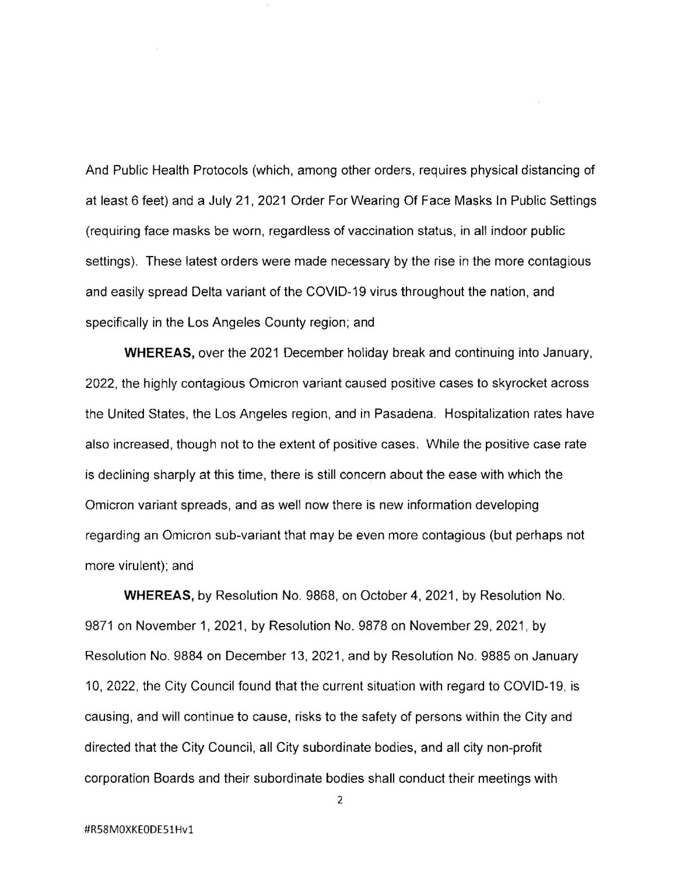And Public Health Protocols (which, among other orders, requires physical distancing of at least 6 feet) and a July 21, 2021 Order For Wearing Of Face Masks In Public Settings (requiring face masks be worn, regardless of vaccination status, in all indoor public settings). These latest orders were made necessary by the rise in the more contagious and easily spread Delta variant of the COVID-19 virus throughout the nation, and specifically in the Los Angeles County region; and

**WHEREAS,** over the 2021 December holiday break and continuing into January, 2022, the highly contagious Omicron variant caused positive cases to skyrocket across the United States, the Los Angeles region, and in Pasadena. Hospitalization rates have also increased, though not to the extent of positive cases. While the positive case rate is declining sharply at this time, there is still concern about the ease with which the Omicron variant spreads, and as well now there is new information developing regarding an Omicron sub-variant that may be even more contagious (but perhaps not more virulent); and

**WHEREAS,** by Resolution No. 9868, on October 4, 2021, by Resolution No. 9871 on November 1, 2021, by Resolution No. 9878 on November 29, 2021, by Resolution No. 9884 on December 13, 2021 , and by Resolution No. 9885 on January 10, 2022, the City Council found that the current situation with regard to COVID-19, is causing, and will continue to cause, risks to the safety of persons within the City and directed that the City Council, all City subordinate bodies, and all city non-profit corporation Boards and their subordinate bodies shall conduct their meetings with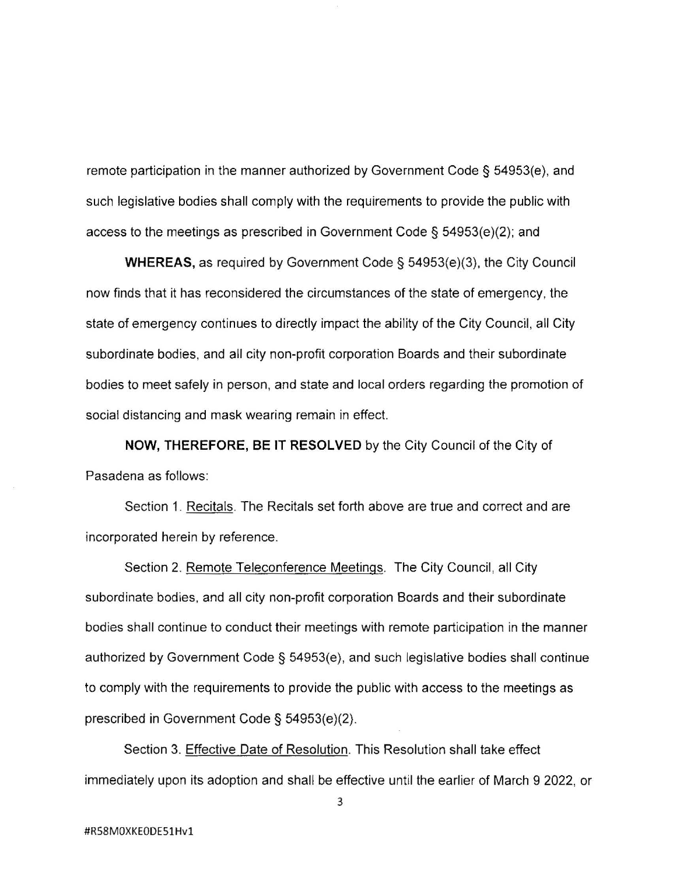remote participation in the manner authorized by Government Code§ 54953(e), and such legislative bodies shall comply with the requirements to provide the public with access to the meetings as prescribed in Government Code§ 54953(e)(2); and

**WHEREAS,** as required by Government Code§ 54953(e)(3), the City Council now finds that it has reconsidered the circumstances of the state of emergency, the state of emergency continues to directly impact the ability of the City Council, all City subordinate bodies, and all city non-profit corporation Boards and their subordinate bodies to meet safely in person, and state and local orders regarding the promotion of social distancing and mask wearing remain in effect.

**NOW, THEREFORE, BE IT RESOLVED** by the City Council of the City of Pasadena as follows:

Section 1. Recitals. The Recitals set forth above are true and correct and are incorporated herein by reference.

Section 2. Remote Teleconference Meetings. The City Council, all City subordinate bodies, and all city non-profit corporation Boards and their subordinate bodies shall continue to conduct their meetings with remote participation in the manner authorized by Government Code§ 54953(e), and such legislative bodies shall continue to comply with the requirements to provide the public with access to the meetings as prescribed in Government Code§ 54953(e)(2).

Section 3. Effective Date of Resolution. This Resolution shall take effect immediately upon its adoption and shall be effective until the earlier of March 9 2022, or

3